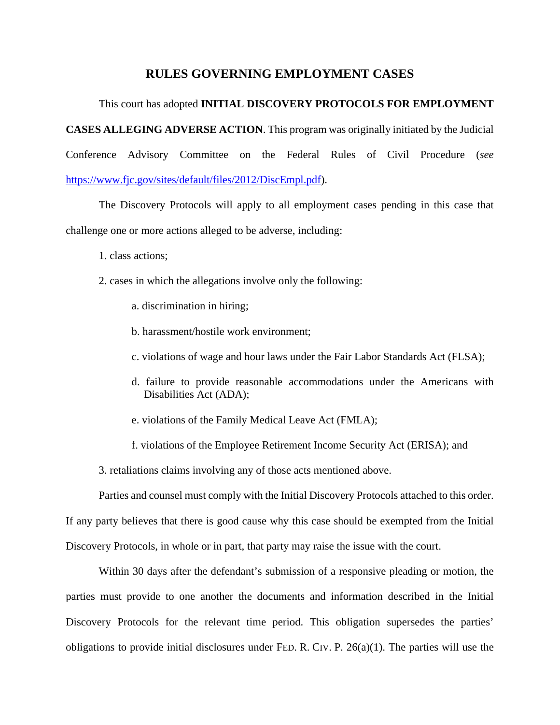## **RULES GOVERNING EMPLOYMENT CASES**

## This court has adopted **INITIAL DISCOVERY PROTOCOLS FOR EMPLOYMENT**

**CASES ALLEGING ADVERSE ACTION**. This program was originally initiated by the Judicial Conference Advisory Committee on the Federal Rules of Civil Procedure (*see* [https://www.fjc.gov/sites/default/files/2012/DiscEmpl.pdf\)](https://www.fjc.gov/sites/default/files/2012/DiscEmpl.pdf).

The Discovery Protocols will apply to all employment cases pending in this case that challenge one or more actions alleged to be adverse, including:

- 1. class actions;
- 2. cases in which the allegations involve only the following:
	- a. discrimination in hiring;
	- b. harassment/hostile work environment;
	- c. violations of wage and hour laws under the Fair Labor Standards Act (FLSA);
	- d. failure to provide reasonable accommodations under the Americans with Disabilities Act (ADA);
	- e. violations of the Family Medical Leave Act (FMLA);
	- f. violations of the Employee Retirement Income Security Act (ERISA); and

3. retaliations claims involving any of those acts mentioned above.

Parties and counsel must comply with the Initial Discovery Protocols attached to this order.

If any party believes that there is good cause why this case should be exempted from the Initial Discovery Protocols, in whole or in part, that party may raise the issue with the court.

Within 30 days after the defendant's submission of a responsive pleading or motion, the parties must provide to one another the documents and information described in the Initial Discovery Protocols for the relevant time period. This obligation supersedes the parties' obligations to provide initial disclosures under FED. R. CIV. P.  $26(a)(1)$ . The parties will use the